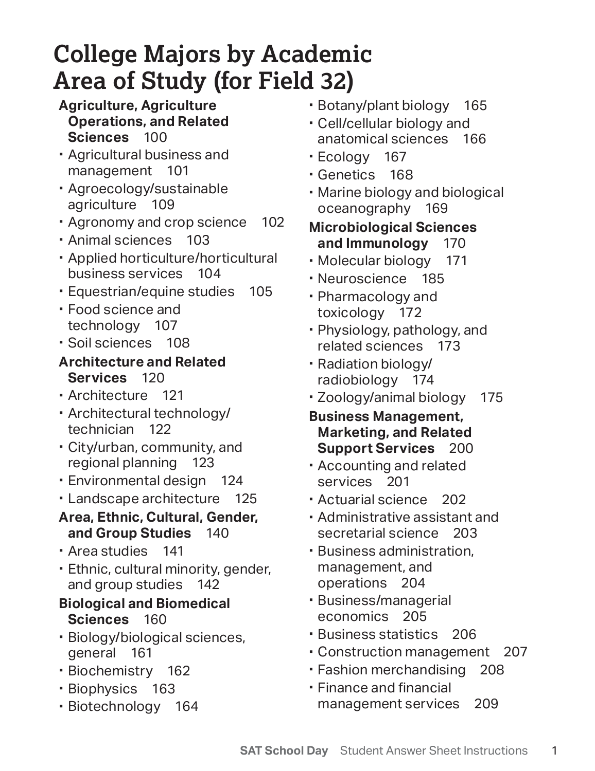# **College Majors by Academic Area of Study (for Field 32)**

#### **Sciences** 100 **Agriculture, Agriculture Operations, and Related**

- Agricultural business and management 101
- Agroecology/sustainable agriculture 109
- Agronomy and crop science 102
- Animal sciences 103
- Applied horticulture/horticultural business services 104
- Equestrian/equine studies 105
- Food science and technology 107
- Soil sciences 108

#### **Architecture and Related Services** 120

- Architecture 121
- Architectural technology/ technician 122
- City/urban, community, and regional planning 123
- Environmental design 124
- Landscape architecture 125
- **and Group Studies** 140 **Area, Ethnic, Cultural, Gender,**
- Area studies 141
- Ethnic, cultural minority, gender, and group studies 142

## **Sciences** 160 **Biological and Biomedical**

- Biology/biological sciences, general 161
- Biochemistry 162
- Biophysics 163
- Biotechnology 164
- Botany/plant biology 165
- Cell/cellular biology and anatomical sciences 166
- Ecology 167
- Genetics 168
- Marine biology and biological oceanography 169

#### 170 **Microbiological Sciences**  and Immunology

- Molecular biology 171
- Neuroscience 185
- Pharmacology and toxicology 172
- Physiology, pathology, and related sciences 173
- Radiation biology/ radiobiology 174
- Zoology/animal biology 175
- **Support Services** 200 **Business Management, Marketing, and Related**
- Accounting and related services 201
- Actuarial science 202
- Administrative assistant and secretarial science 203
- management, and Business administration, operations 204
- Business/managerial economics 205
- Business statistics 206
- Construction management 207
- Fashion merchandising 208
- **•** Finance and financial management services 209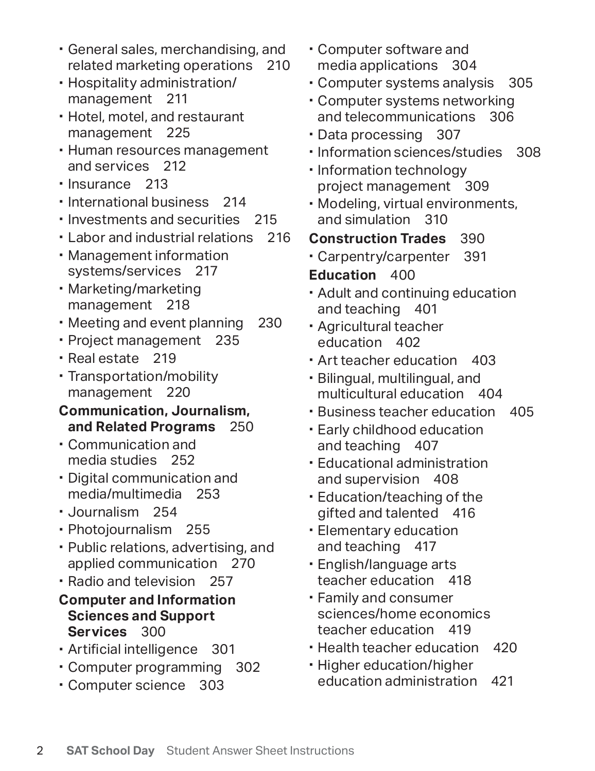- General sales, merchandising, and related marketing operations 210
- Hospitality administration/ management 211
- Hotel, motel, and restaurant management 225
- Human resources management and services 212
- Insurance 213
- **International business** 214
- Investments and securities 215
- Labor and industrial relations 216
- Management information systems/services 217
- Marketing/marketing management 218
- Meeting and event planning 230
- Project management 235
- Real estate 219
- Transportation/mobility management 220

#### **and Related Programs** 250 **Communication, Journalism,**

- Communication and media studies 252
- Digital communication and media/multimedia 253
- Journalism 254
- Photojournalism 255
- Public relations, advertising, and applied communication 270
- Radio and television 257

#### **Computer and Information Sciences and Support Services** 300

- Artificial intelligence 301
- Computer programming 302
- Computer science 303
- Computer software and media applications 304
- Computer systems analysis 305
- Computer systems networking and telecommunications 306
- Data processing 307
- **Information sciences/studies** 308
- Information technology project management 309
- Modeling, virtual environments, and simulation 310
- **Construction Trades** 390
- Carpentry/carpenter 391
- **Education** 400
- Adult and continuing education and teaching 401
- Agricultural teacher education 402
- Art teacher education 403
- multicultural education 404 Bilingual, multilingual, and
- Business teacher education 405
- Early childhood education and teaching 407
- Educational administration and supervision 408
- Education/teaching of the gifted and talented 416
- Elementary education and teaching 417
- English/language arts teacher education 418
- Family and consumer sciences/home economics teacher education 419
- Health teacher education 420
- **Higher education/higher** education administration 421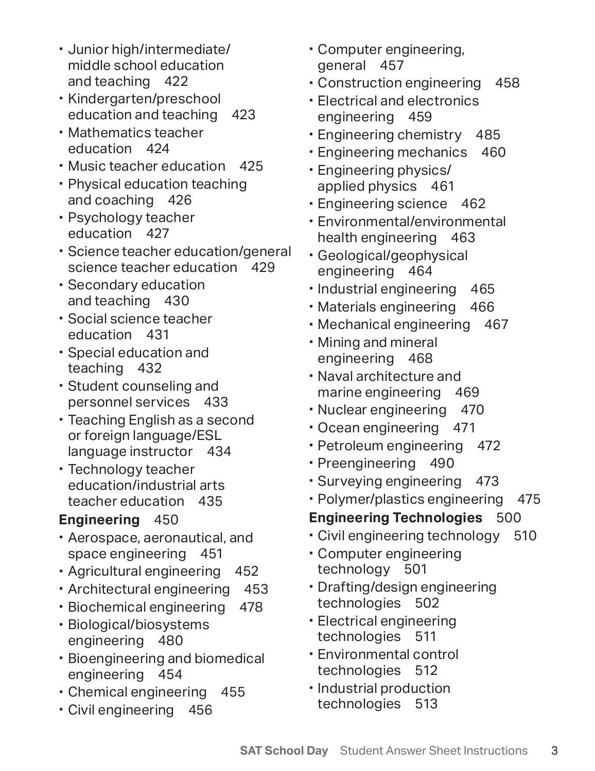- middle school education Junior high/intermediate/ and teaching 422
- Kindergarten/preschool education and teaching 423
- Mathematics teacher education 424
- Music teacher education 425
- Physical education teaching and coaching 426
- Psychology teacher education 427
- Science teacher education/general science teacher education 429
- Secondary education and teaching 430
- Social science teacher education 431
- Special education and teaching 432
- Student counseling and personnel services 433
- Teaching English as a second or foreign language/ESL language instructor 434
- education/industrial arts Technology teacher teacher education 435

## **Engineering** 450

- Aerospace, aeronautical, and space engineering 451
- Agricultural engineering 452
- Architectural engineering 453
- Biochemical engineering 478
- Biological/biosystems engineering 480
- Bioengineering and biomedical engineering 454
- Chemical engineering 455
- Civil engineering 456
- Computer engineering, general 457
- Construction engineering 458
- Electrical and electronics engineering 459
- Engineering chemistry 485
- Engineering mechanics 460
- applied physics 461 Engineering physics/
- Engineering science 462
- Environmental/environmental health engineering 463
- Geological/geophysical engineering 464
- Industrial engineering 465
- Materials engineering 466
- Mechanical engineering 467
- Mining and mineral engineering 468
- Naval architecture and marine engineering 469
- Nuclear engineering 470
- Ocean engineering 471
- Petroleum engineering 472
- Preengineering 490
- Surveying engineering 473
- Polymer/plastics engineering 475

## **Engineering Technologies** 500

- Civil engineering technology 510
- Computer engineering technology 501
- Drafting/design engineering technologies 502
- Electrical engineering technologies 511
- Environmental control technologies 512
- **· Industrial production** technologies 513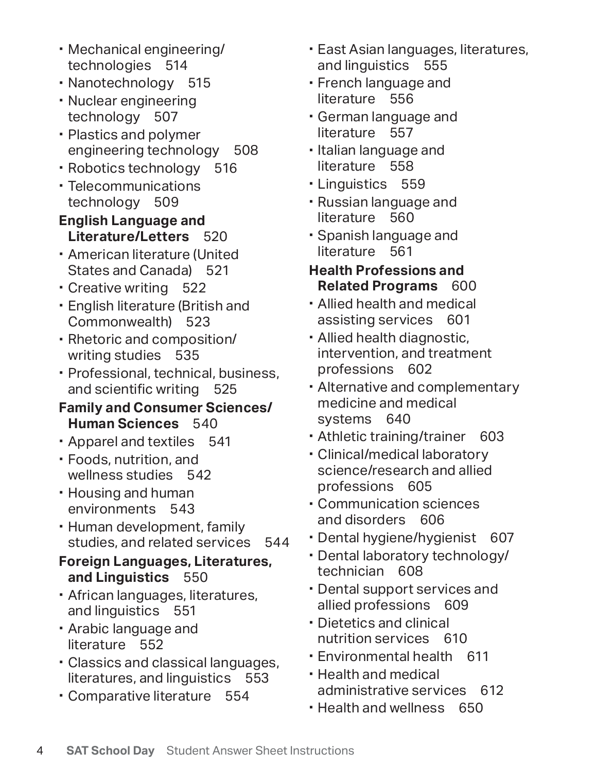- Mechanical engineering/ technologies 514
- Nanotechnology 515
- Nuclear engineering technology 507
- Plastics and polymer engineering technology 508
- Robotics technology 516
- Telecommunications technology 509

#### **English Language and Literature/Letters** 520

- American literature (United States and Canada) 521
- Creative writing 522
- English literature (British and Commonwealth) 523
- Rhetoric and composition/ writing studies 535
- Professional, technical, business, and scientific writing 525

#### **Family and Consumer Sciences/ Human Sciences** 540

- Apparel and textiles 541
- Foods, nutrition, and wellness studies 542
- Housing and human environments 543
- Human development, family studies, and related services 544
- **and Linguistics** 550 **Foreign Languages, Literatures,**
- African languages, literatures, and linguistics 551
- Arabic language and literature 552
- literatures, and linguistics 553 Classics and classical languages,
- Comparative literature 554
- East Asian languages, literatures, and linguistics 555
- French language and literature 556
- German language and literature 557
- $\cdot$  Italian language and literature 558
- **Linguistics 559**
- Russian language and literature 560
- Spanish language and literature 561

#### **Health Professions and Related Programs** 600

- Allied health and medical assisting services 601
- Allied health diagnostic, intervention, and treatment professions 602
- Alternative and complementary medicine and medical systems 640
- Athletic training/trainer 603
- Clinical/medical laboratory science/research and allied professions 605
- Communication sciences and disorders 606
- Dental hygiene/hygienist 607
- Dental laboratory technology/ technician 608
- Dental support services and allied professions 609
- Dietetics and clinical nutrition services 610
- Environmental health 611
- Health and medical administrative services 612
- Health and wellness 650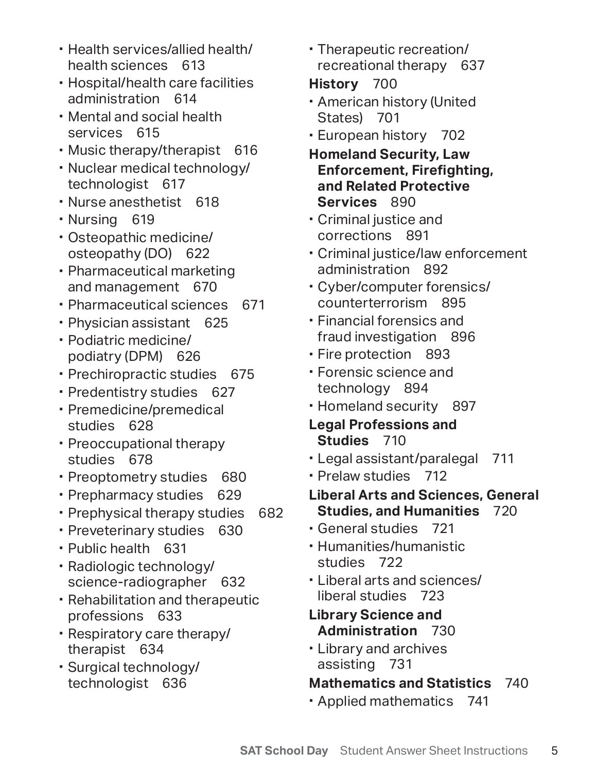- Health services/allied health/ health sciences 613
- Hospital/health care facilities administration 614
- Mental and social health services 615
- Music therapy/therapist 616
- Nuclear medical technology/ technologist 617
- Nurse anesthetist 618
- Nursing 619
- Osteopathic medicine/ osteopathy (DO) 622
- Pharmaceutical marketing and management 670
- Pharmaceutical sciences 671
- Physician assistant 625
- Podiatric medicine/ podiatry (DPM) 626
- Prechiropractic studies 675
- Predentistry studies 627
- Premedicine/premedical studies 628
- Preoccupational therapy studies 678
- Preoptometry studies 680
- Prepharmacy studies 629
- Prephysical therapy studies 682
- Preveterinary studies 630
- Public health 631
- Radiologic technology/ science-radiographer 632
- Rehabilitation and therapeutic professions 633
- Respiratory care therapy/ therapist 634
- Surgical technology/ technologist 636

 Therapeutic recreation/ recreational therapy 637

## **History** 700

- American history (United States) 701
- European history 702
- **Homeland Security, Law Enforcement, Firefighting, and Related Protective Services** 890
- Criminal justice and corrections 891
- Criminal justice/law enforcement administration 892
- Cyber/computer forensics/ counterterrorism 895
- Financial forensics and fraud investigation 896
- Fire protection 893
- Forensic science and technology 894
- Homeland security 897
- **Studies** 710 **Legal Professions and**
- Legal assistant/paralegal 711
- Prelaw studies 712
- **Studies, and Humanities** 720 **Liberal Arts and Sciences, General**
- General studies 721
- Humanities/humanistic studies 722
- Liberal arts and sciences/ liberal studies 723
- **Administration** 730 **Library Science and**
- Library and archives assisting 731

## **Mathematics and Statistics** 740

Applied mathematics 741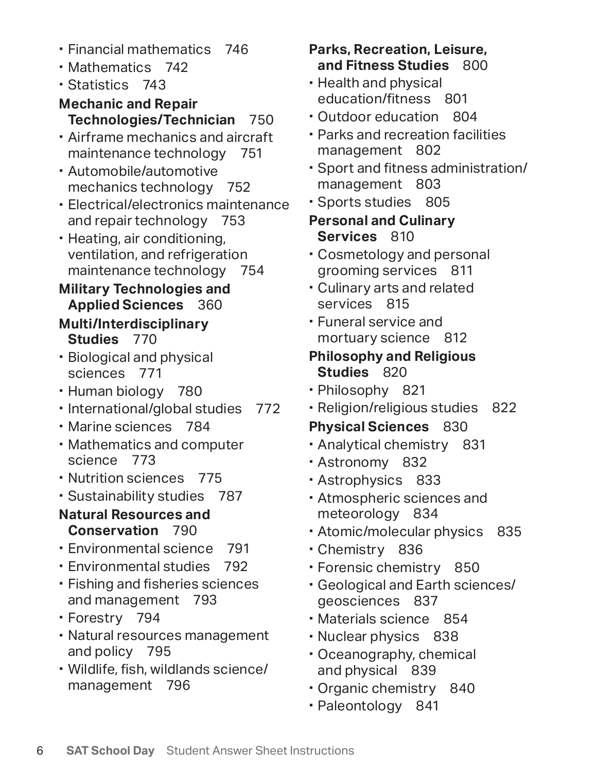- Financial mathematics 746
- Mathematics 742
- Statistics 743

## **Mechanic and Repair Technologies/Technician** 750

- Airframe mechanics and aircraft maintenance technology 751
- Automobile/automotive mechanics technology 752
- Electrical/electronics maintenance and repair technology 753
- Heating, air conditioning, ventilation, and refrigeration maintenance technology 754

#### **Military Technologies and Applied Sciences** 360

#### **Multi/Interdisciplinary Studies** 770

- Biological and physical sciences 771
- Human biology 780
- International/global studies 772
- Marine sciences 784
- Mathematics and computer science 773
- Nutrition sciences 775
- Sustainability studies 787

### **Natural Resources and Conservation** 790

- Environmental science 791
- Environmental studies 792
- Fishing and fisheries sciences and management 793
- Forestry 794
- Natural resources management and policy 795
- Wildlife, fish, wildlands science/ management 796

## **Parks, Recreation, Leisure, and Fitness Studies** 800

- Health and physical education/fitness 801
- Outdoor education 804
- Parks and recreation facilities management 802
- Sport and fitness administration/ management 803
- Sports studies 805
- **Services** 810 **Personal and Culinary**
- Cosmetology and personal grooming services 811
- Culinary arts and related services 815
- Funeral service and mortuary science 812

## **Studies** 820 **Philosophy and Religious**

- Philosophy 821
- Religion/religious studies 822

## **Physical Sciences** 830

- Analytical chemistry 831
- Astronomy 832
- Astrophysics 833
- Atmospheric sciences and meteorology 834
- Atomic/molecular physics 835
- Chemistry 836
- Forensic chemistry 850
- Geological and Earth sciences/ geosciences 837
- Materials science 854
- Nuclear physics 838
- Oceanography, chemical and physical 839
- Organic chemistry 840
- Paleontology 841